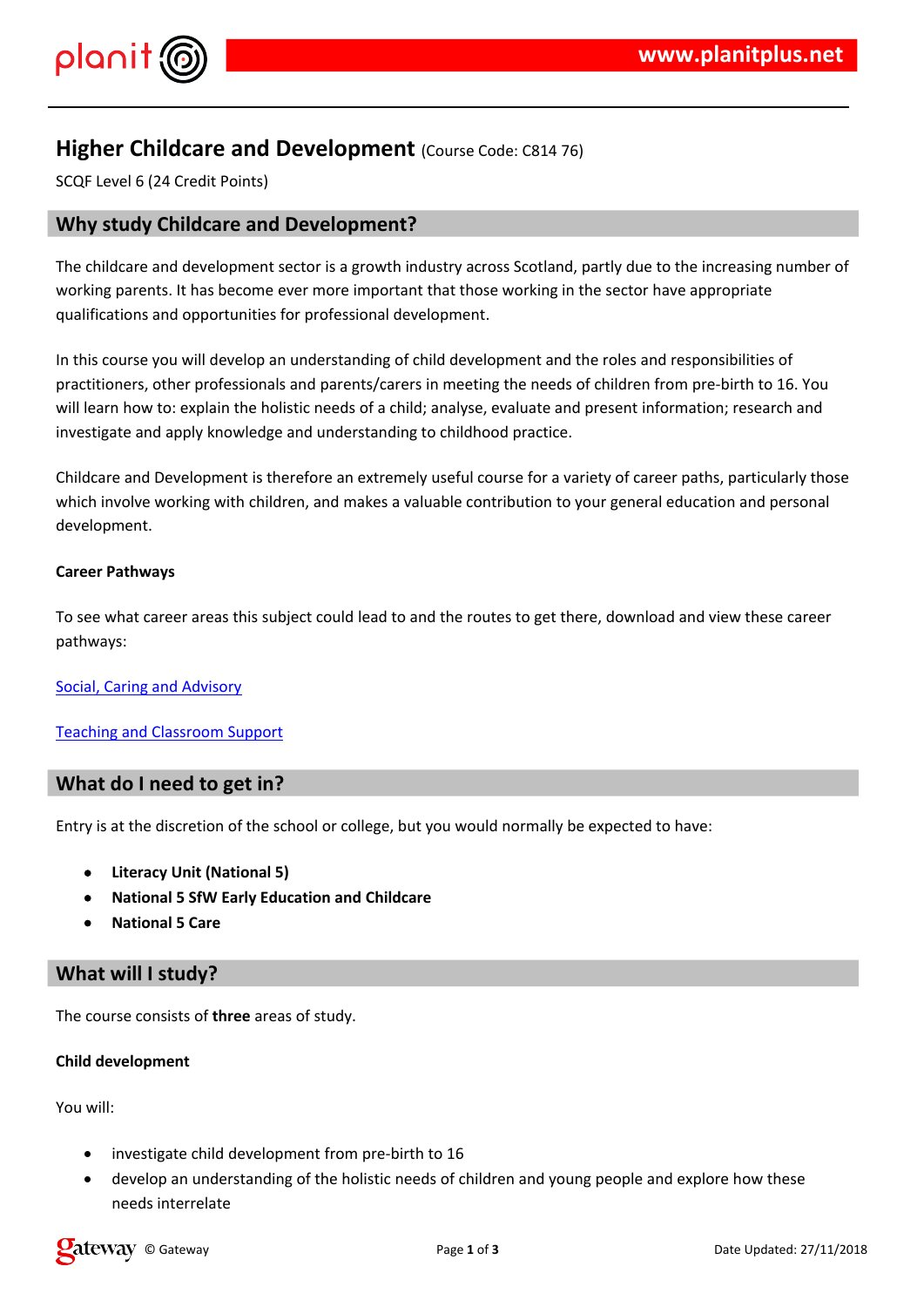## $!$  " # \$  $\%$  % &

 $( ) ( % $ )$  #&\$ \* & % (%&) ) \$ & + \$ % % % &<br>-% & & . / (#, )\* % \* (& ( -% & % & #( ) %  $8\%$   $8\%$  \$ # \$ \* & .  $0$  \$% %) % & &

18. (%) # \$%8\$ \$ & %) & % \$ # \$ \* & & & ( \$ & %, % \$ % \$ % ) % % & + ( & )(%\$1,% (2<br>%\$\$ \$( & 3 \$ %(&\$% %) & )(%&\$\$4 #+\$ & %&& \* % &4(&  $%8.#$  % \$8.-8 \$8.8 8. %8 )(%\$  $96)$ .

 $( % $ )$  & # \$% (\* & & 3 \* \$\$ ) # % ) ( + % ) \$ \$  $\#$  \$  $*$  & .

 $($  )  $5($ %) \$\$ &  $($   $($   $+$  & \$ & #%  $\left($ 

 $\frac{9}{6}$  \$ + % & & 6 # %

 $(968885$ 

 $78^{9}$  $($  %))(%\$&\$\$(+, &\$\$,\$3)(#

**Contract Contract** 

" #  $\sim 10^{-10}$  $"$  \$% & &  $\mathbf{I}$  $\mathbf{L}$ 

 $'()$  ) & %

 $2\%$  \$\$

% & # %  $\#$  (\$6 \$ \* & \* 1, % ( #\$&&&%&&()((\$\$\$%%)&&\$&3\$((  $\sqrt{3}$ & % &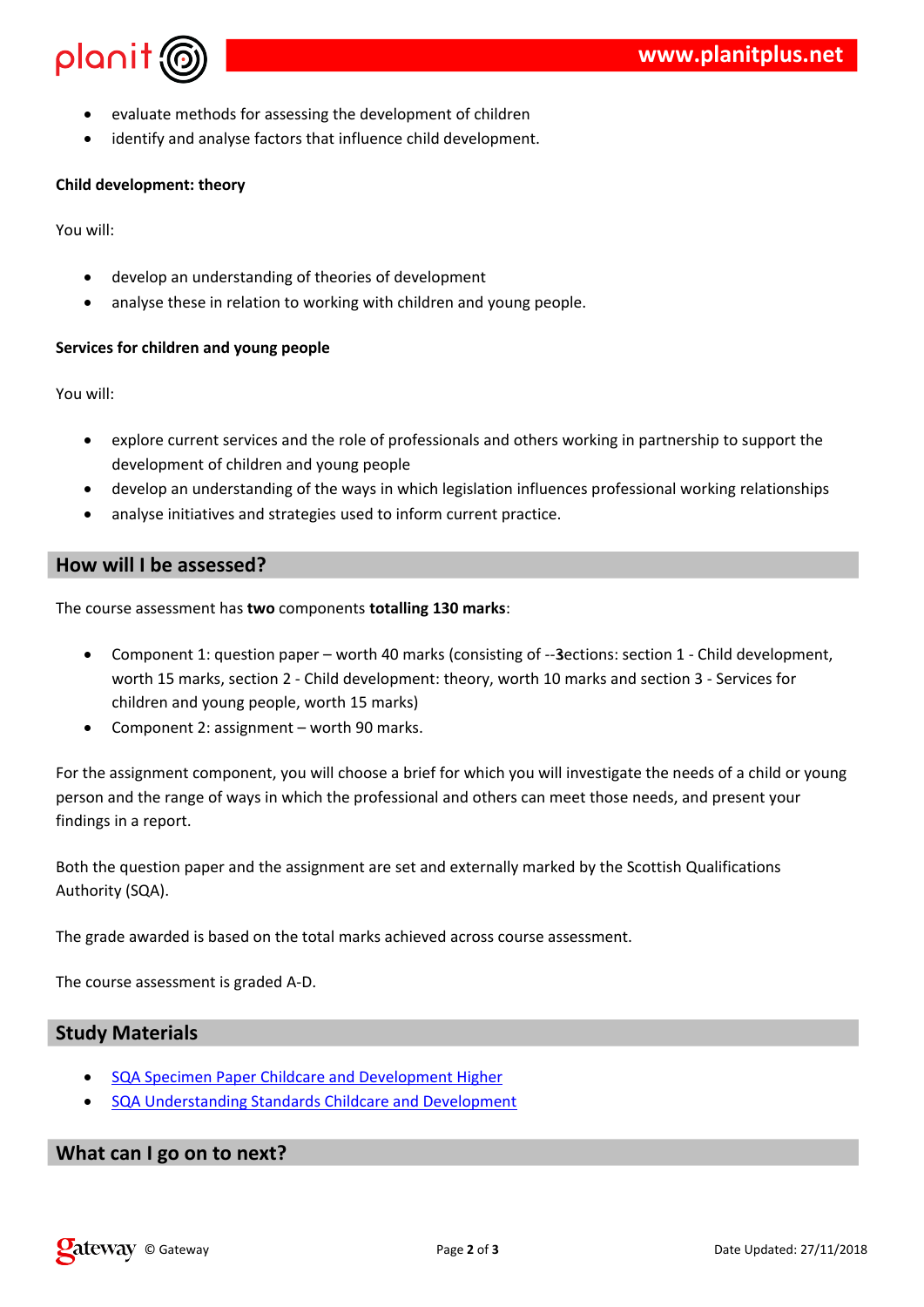| % & # \$ * & ) ( % \$ &<br>$\mathsf{\$}$<br>#<br>& & \$ %&)\$ ) &%(\$ # \$ * & .<br>%<br>& %                                                                                                                                                                                                                                                                                 |
|------------------------------------------------------------------------------------------------------------------------------------------------------------------------------------------------------------------------------------------------------------------------------------------------------------------------------------------------------------------------------|
| $\overline{(}$                                                                                                                                                                                                                                                                                                                                                               |
| $%$ \$\$<br>$2^{\circ}$                                                                                                                                                                                                                                                                                                                                                      |
| & & %& # \$ %* &<br># $\sqrt{5}$<br>&<br>$($ % & \$-%%%% () (% \$ & & \$ .<br>& \$                                                                                                                                                                                                                                                                                           |
| $\%$<br>\$                                                                                                                                                                                                                                                                                                                                                                   |
| $%$ \$\$<br>$\overline{2}$                                                                                                                                                                                                                                                                                                                                                   |
| $(1)$ & #%) \$ & (% & \$ (&<br>$-$ % & $-$ & $($ % $)$ (<br>$3 \delta$<br>$*$ & $)(\%$ \$ & & \$<br># S                                                                                                                                                                                                                                                                      |
| # S<br>& & & %&%& ((%)(\$%%&\$\$%&)& %&\$\$%&%(<br>& \$ % & % % % # & % & ) * % & ) % ).                                                                                                                                                                                                                                                                                     |
|                                                                                                                                                                                                                                                                                                                                                                              |
| $* 8$ (<br>$\frac{1}{2}$ $\frac{1}{2}$ $\frac{1}{2}$ $\frac{1}{2}$ $\frac{1}{2}$ $\frac{1}{2}$ $\frac{1}{2}$ $\frac{1}{2}$ $\frac{1}{2}$ $\frac{1}{2}$ $\frac{1}{2}$ $\frac{1}{2}$ $\frac{1}{2}$ $\frac{1}{2}$ $\frac{1}{2}$ $\frac{1}{2}$ $\frac{1}{2}$ $\frac{1}{2}$ $\frac{1}{2}$ $\frac{1}{2}$ $\frac{1}{2}$ $\frac{1}{2}$<br>$^{\prime}$ ( )<br>$\ddot{}$               |
| * & & 0 % & ( *8 - ) & % % &) % & 19 ) % & 1 (% \$<br>$- +$ ) 1{6% \$\pp # \$ \pp \charged & \pp \charged \charged \$ \pp \charged \$ \pp \charged \$ \pp \charged \$ \pp \charged \$ \pp \charged \$ \pp \charged \$ \pp \charged \$ \pp \charged \$ \pp \charged \$ \pp \charged \$ \pp \charge<br>$($ $:$ $*$<br>$8 \t 9 + \t * (-1)$<br>( % \$ &<br>* & & $%88*8(* - 1)$ |
| $($ % & * & $)$ * & %&\$ \$ $)$ ( (%) ( % \$ \$ % & # % ) ((% \$ & 8<br>$\mathbf{I}$<br>& & ( & %&(%)( ( & & \$ *) & ( & + & &<br>%&%&%&.                                                                                                                                                                                                                                    |
| $<$ ( $(0$ % & ( $\& % \& * \& 0$ & 3 & \$\$ * - , ( $$% \& % \& 0$ % &<br>$6($ %<br>6 <sub>1</sub>                                                                                                                                                                                                                                                                          |
| $^{\prime}$ (<br>% , $($ &*\$ - $)($ % # ) )<br>$\star$ & .                                                                                                                                                                                                                                                                                                                  |
| $* 8 \t% 61$ .<br>$^{\prime}$ ( )                                                                                                                                                                                                                                                                                                                                            |
| $\boldsymbol{\mathsf{S}}$<br>$\overline{\phantom{a}}$                                                                                                                                                                                                                                                                                                                        |
| $6$ ) % $*$ & (%\$) #&\$ $*$ &% (<br>8 8 % 8 8 (%\$) 8 # \$ * &<br>6                                                                                                                                                                                                                                                                                                         |
|                                                                                                                                                                                                                                                                                                                                                                              |